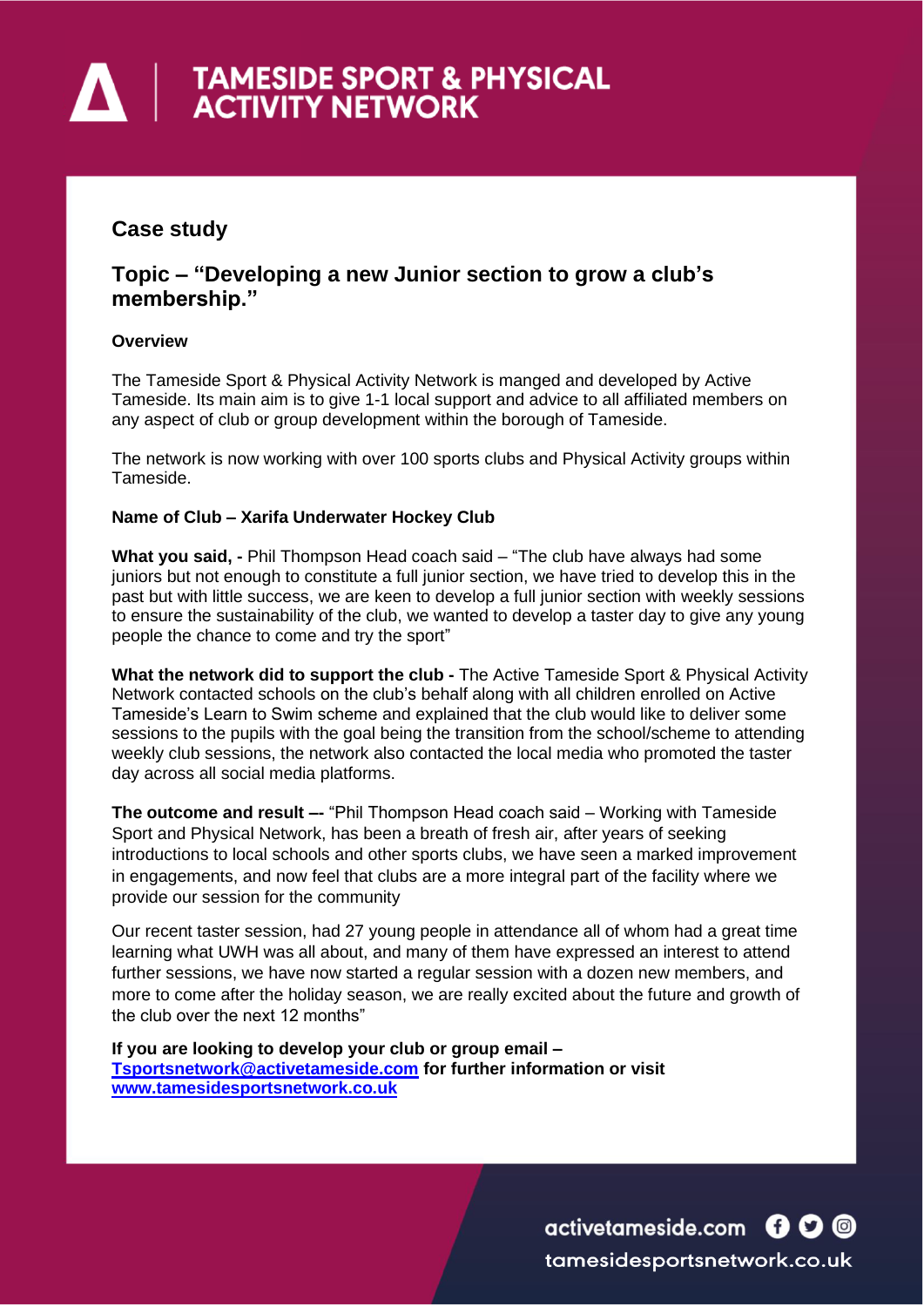# **A FAMESIDE SPORT & PHYSICAL**<br>ACTIVITY NETWORK

## **Case study**

### **Topic – "Developing a new Junior section to grow a club's membership."**

#### **Overview**

The Tameside Sport & Physical Activity Network is manged and developed by Active Tameside. Its main aim is to give 1-1 local support and advice to all affiliated members on any aspect of club or group development within the borough of Tameside.

The network is now working with over 100 sports clubs and Physical Activity groups within Tameside.

#### **Name of Club – Xarifa Underwater Hockey Club**

**What you said, -** Phil Thompson Head coach said – "The club have always had some juniors but not enough to constitute a full junior section, we have tried to develop this in the past but with little success, we are keen to develop a full junior section with weekly sessions to ensure the sustainability of the club, we wanted to develop a taster day to give any young people the chance to come and try the sport"

**What the network did to support the club -** The Active Tameside Sport & Physical Activity Network contacted schools on the club's behalf along with all children enrolled on Active Tameside's Learn to Swim scheme and explained that the club would like to deliver some sessions to the pupils with the goal being the transition from the school/scheme to attending weekly club sessions, the network also contacted the local media who promoted the taster day across all social media platforms.

**The outcome and result –-** "Phil Thompson Head coach said – Working with Tameside Sport and Physical Network, has been a breath of fresh air, after years of seeking introductions to local schools and other sports clubs, we have seen a marked improvement in engagements, and now feel that clubs are a more integral part of the facility where we provide our session for the community

Our recent taster session, had 27 young people in attendance all of whom had a great time learning what UWH was all about, and many of them have expressed an interest to attend further sessions, we have now started a regular session with a dozen new members, and more to come after the holiday season, we are really excited about the future and growth of the club over the next 12 months"

**If you are looking to develop your club or group email – [Tsportsnetwork@activetameside.com](mailto:Tsportsnetwork@activetameside.com) for further information or visit [www.tamesidesportsnetwork.co.uk](http://www.tamesidesportsnetwork.co.uk/)**

> activetameside.com **600** tamesidesportsnetwork.co.uk